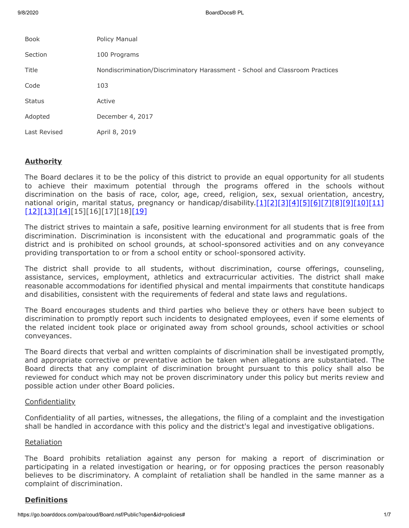9/8/2020 BoardDocs® PL 2012 BoardDocs® PL 2012 BoardDocs® PL 2012 BoardDocs® PL 2012 BoardDocs® PL 2012 BoardDocs

| <b>Book</b>   | Policy Manual                                                                |
|---------------|------------------------------------------------------------------------------|
| Section       | 100 Programs                                                                 |
| Title         | Nondiscrimination/Discriminatory Harassment - School and Classroom Practices |
| Code          | 103                                                                          |
| <b>Status</b> | Active                                                                       |
| Adopted       | December 4, 2017                                                             |
| Last Revised  | April 8, 2019                                                                |
|               |                                                                              |

# **Authority**

The Board declares it to be the policy of this district to provide an equal opportunity for all students to achieve their maximum potential through the programs offered in the schools without discrimination on the basis of race, color, age, creed, religion, sex, sexual orientation, ancestry, national origin, marital status, pregnancy or handicap/disability.[\[1\]](http://www.law.cornell.edu/uscode/text/20/chapter-38)[\[2\]](http://pacodeandbulletin.gov/Display/pacode?file=/secure/pacode/data/022/chapter12/s12.1.html&d=reduce)[2][\[4\]](http://pacodeandbulletin.gov/Display/pacode?file=/secure/pacode/data/022/chapter15/chap15toc.html&d=)[\[5\]](http://pacodeandbulletin.gov/Display/pacode?file=/secure/pacode/data/022/chapter4/s4.4.html&d=reduce)[\[6\]](http://www.legis.state.pa.us/cfdocs/legis/LI/uconsCheck.cfm?txtType=HTM&yr=1949&sessInd=0&smthLwInd=0&act=14&chpt=13&sctn=1&subsctn=0)[\[7\]](http://www.legis.state.pa.us/cfdocs/legis/LI/uconsCheck.cfm?txtType=HTM&yr=1949&sessInd=0&smthLwInd=0&act=14&chpt=13&sctn=10&subsctn=0)[\[8\]](http://www.legis.state.pa.us/cfdocs/legis/LI/uconsCheck.cfm?txtType=HTM&yr=1949&sessInd=0&smthLwInd=0&act=014&chpt=16C)[\[9\]](http://www.legis.state.pa.us/cfdocs/legis/LI/uconsCheck.cfm?txtType=HTM&yr=1961&sessInd=0&smthLwInd=0&act=341&chpt=0&sctn=4&subsctn=0)[\[10\]](http://www.law.cornell.edu/uscode/text/29/794)[\[11\]](http://www.law.cornell.edu/uscode/text/42/chapter-126) [\[12\]](http://www.law.cornell.edu/uscode/text/42/chapter-21/subchapter-I)[\[13\]](http://www.law.cornell.edu/uscode/text/42/chapter-21/subchapter-V)[\[14\]\[](http://www.legis.state.pa.us/cfdocs/Legis/LI/uconsCheck.cfm?txtType=HTM&yr=1955&sessInd=0&smthLwInd=0&act=0222.)15][16][17][18][\[19\]](https://www.law.cornell.edu/constitution/amendmentxiv)

The district strives to maintain a safe, positive learning environment for all students that is free from discrimination. Discrimination is inconsistent with the educational and programmatic goals of the district and is prohibited on school grounds, at school-sponsored activities and on any conveyance providing transportation to or from a school entity or school-sponsored activity.

The district shall provide to all students, without discrimination, course offerings, counseling, assistance, services, employment, athletics and extracurricular activities. The district shall make reasonable accommodations for identified physical and mental impairments that constitute handicaps and disabilities, consistent with the requirements of federal and state laws and regulations.

The Board encourages students and third parties who believe they or others have been subject to discrimination to promptly report such incidents to designated employees, even if some elements of the related incident took place or originated away from school grounds, school activities or school conveyances.

The Board directs that verbal and written complaints of discrimination shall be investigated promptly, and appropriate corrective or preventative action be taken when allegations are substantiated. The Board directs that any complaint of discrimination brought pursuant to this policy shall also be reviewed for conduct which may not be proven discriminatory under this policy but merits review and possible action under other Board policies.

## **Confidentiality**

Confidentiality of all parties, witnesses, the allegations, the filing of a complaint and the investigation shall be handled in accordance with this policy and the district's legal and investigative obligations.

## Retaliation

The Board prohibits retaliation against any person for making a report of discrimination or participating in a related investigation or hearing, or for opposing practices the person reasonably believes to be discriminatory. A complaint of retaliation shall be handled in the same manner as a complaint of discrimination.

# **Definitions**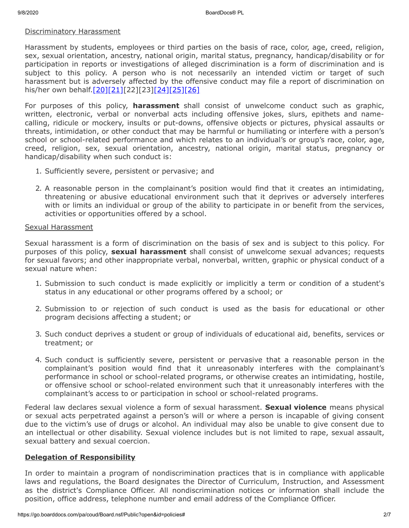#### Discriminatory Harassment

Harassment by students, employees or third parties on the basis of race, color, age, creed, religion, sex, sexual orientation, ancestry, national origin, marital status, pregnancy, handicap/disability or for participation in reports or investigations of alleged discrimination is a form of discrimination and is subject to this policy. A person who is not necessarily an intended victim or target of such harassment but is adversely affected by the offensive conduct may file a report of discrimination on his/her own behalf.[\[20\]](http://www.law.cornell.edu/cfr/text/29/1604.11)[\[21\]\[](http://www.law.cornell.edu/cfr/text/29/1606.8)22][23][\[24\]](https://www2.ed.gov/about/offices/list/ocr/letters/colleague-201010.html)[\[25\]](https://www2.ed.gov/about/offices/list/ocr/raceharassresources.html)[\[26\]](https://www2.ed.gov/about/offices/list/ocr/docs/shguide.html)

For purposes of this policy, **harassment** shall consist of unwelcome conduct such as graphic, written, electronic, verbal or nonverbal acts including offensive jokes, slurs, epithets and namecalling, ridicule or mockery, insults or put-downs, offensive objects or pictures, physical assaults or threats, intimidation, or other conduct that may be harmful or humiliating or interfere with a person's school or school-related performance and which relates to an individual's or group's race, color, age, creed, religion, sex, sexual orientation, ancestry, national origin, marital status, pregnancy or handicap/disability when such conduct is:

- 1. Sufficiently severe, persistent or pervasive; and
- 2. A reasonable person in the complainant's position would find that it creates an intimidating, threatening or abusive educational environment such that it deprives or adversely interferes with or limits an individual or group of the ability to participate in or benefit from the services, activities or opportunities offered by a school.

#### Sexual Harassment

Sexual harassment is a form of discrimination on the basis of sex and is subject to this policy. For purposes of this policy, **sexual harassment** shall consist of unwelcome sexual advances; requests for sexual favors; and other inappropriate verbal, nonverbal, written, graphic or physical conduct of a sexual nature when:

- 1. Submission to such conduct is made explicitly or implicitly a term or condition of a student's status in any educational or other programs offered by a school; or
- 2. Submission to or rejection of such conduct is used as the basis for educational or other program decisions affecting a student; or
- 3. Such conduct deprives a student or group of individuals of educational aid, benefits, services or treatment; or
- 4. Such conduct is sufficiently severe, persistent or pervasive that a reasonable person in the complainant's position would find that it unreasonably interferes with the complainant's performance in school or school-related programs, or otherwise creates an intimidating, hostile, or offensive school or school-related environment such that it unreasonably interferes with the complainant's access to or participation in school or school-related programs.

Federal law declares sexual violence a form of sexual harassment. **Sexual violence** means physical or sexual acts perpetrated against a person's will or where a person is incapable of giving consent due to the victim's use of drugs or alcohol. An individual may also be unable to give consent due to an intellectual or other disability. Sexual violence includes but is not limited to rape, sexual assault, sexual battery and sexual coercion.

## **Delegation of Responsibility**

In order to maintain a program of nondiscrimination practices that is in compliance with applicable laws and regulations, the Board designates the Director of Curriculum, Instruction, and Assessment as the district's Compliance Officer. All nondiscrimination notices or information shall include the position, office address, telephone number and email address of the Compliance Officer.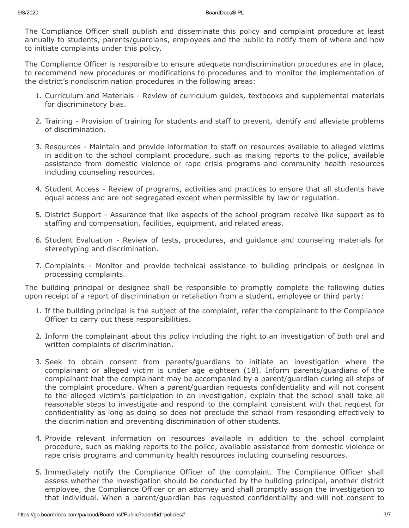The Compliance Officer shall publish and disseminate this policy and complaint procedure at least annually to students, parents/guardians, employees and the public to notify them of where and how to initiate complaints under this policy.

The Compliance Officer is responsible to ensure adequate nondiscrimination procedures are in place, to recommend new procedures or modifications to procedures and to monitor the implementation of the district's nondiscrimination procedures in the following areas:

- 1. Curriculum and Materials Review of curriculum guides, textbooks and supplemental materials for discriminatory bias.
- 2. Training Provision of training for students and staff to prevent, identify and alleviate problems of discrimination.
- 3. Resources Maintain and provide information to staff on resources available to alleged victims in addition to the school complaint procedure, such as making reports to the police, available assistance from domestic violence or rape crisis programs and community health resources including counseling resources.
- 4. Student Access Review of programs, activities and practices to ensure that all students have equal access and are not segregated except when permissible by law or regulation.
- 5. District Support Assurance that like aspects of the school program receive like support as to staffing and compensation, facilities, equipment, and related areas.
- 6. Student Evaluation Review of tests, procedures, and guidance and counseling materials for stereotyping and discrimination.
- 7. Complaints Monitor and provide technical assistance to building principals or designee in processing complaints.

The building principal or designee shall be responsible to promptly complete the following duties upon receipt of a report of discrimination or retaliation from a student, employee or third party:

- 1. If the building principal is the subject of the complaint, refer the complainant to the Compliance Officer to carry out these responsibilities.
- 2. Inform the complainant about this policy including the right to an investigation of both oral and written complaints of discrimination.
- 3. Seek to obtain consent from parents/guardians to initiate an investigation where the complainant or alleged victim is under age eighteen (18). Inform parents/guardians of the complainant that the complainant may be accompanied by a parent/guardian during all steps of the complaint procedure. When a parent/guardian requests confidentiality and will not consent to the alleged victim's participation in an investigation, explain that the school shall take all reasonable steps to investigate and respond to the complaint consistent with that request for confidentiality as long as doing so does not preclude the school from responding effectively to the discrimination and preventing discrimination of other students.
- 4. Provide relevant information on resources available in addition to the school complaint procedure, such as making reports to the police, available assistance from domestic violence or rape crisis programs and community health resources including counseling resources.
- 5. Immediately notify the Compliance Officer of the complaint. The Compliance Officer shall assess whether the investigation should be conducted by the building principal, another district employee, the Compliance Officer or an attorney and shall promptly assign the investigation to that individual. When a parent/guardian has requested confidentiality and will not consent to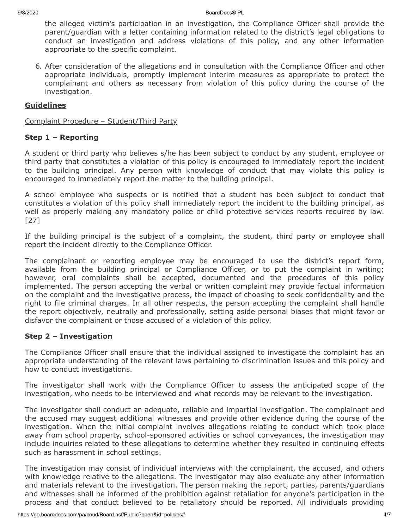9/8/2020 BoardDocs® PL

the alleged victim's participation in an investigation, the Compliance Officer shall provide the parent/guardian with a letter containing information related to the district's legal obligations to conduct an investigation and address violations of this policy, and any other information appropriate to the specific complaint.

6. After consideration of the allegations and in consultation with the Compliance Officer and other appropriate individuals, promptly implement interim measures as appropriate to protect the complainant and others as necessary from violation of this policy during the course of the investigation.

# **Guidelines**

Complaint Procedure – Student/Third Party

## **Step 1 – Reporting**

A student or third party who believes s/he has been subject to conduct by any student, employee or third party that constitutes a violation of this policy is encouraged to immediately report the incident to the building principal. Any person with knowledge of conduct that may violate this policy is encouraged to immediately report the matter to the building principal.

A school employee who suspects or is notified that a student has been subject to conduct that constitutes a violation of this policy shall immediately report the incident to the building principal, as well as properly making any mandatory police or child protective services reports required by law. [27]

If the building principal is the subject of a complaint, the student, third party or employee shall report the incident directly to the Compliance Officer.

The complainant or reporting employee may be encouraged to use the district's report form, available from the building principal or Compliance Officer, or to put the complaint in writing; however, oral complaints shall be accepted, documented and the procedures of this policy implemented. The person accepting the verbal or written complaint may provide factual information on the complaint and the investigative process, the impact of choosing to seek confidentiality and the right to file criminal charges. In all other respects, the person accepting the complaint shall handle the report objectively, neutrally and professionally, setting aside personal biases that might favor or disfavor the complainant or those accused of a violation of this policy.

## **Step 2 – Investigation**

The Compliance Officer shall ensure that the individual assigned to investigate the complaint has an appropriate understanding of the relevant laws pertaining to discrimination issues and this policy and how to conduct investigations.

The investigator shall work with the Compliance Officer to assess the anticipated scope of the investigation, who needs to be interviewed and what records may be relevant to the investigation.

The investigator shall conduct an adequate, reliable and impartial investigation. The complainant and the accused may suggest additional witnesses and provide other evidence during the course of the investigation. When the initial complaint involves allegations relating to conduct which took place away from school property, school-sponsored activities or school conveyances, the investigation may include inquiries related to these allegations to determine whether they resulted in continuing effects such as harassment in school settings.

The investigation may consist of individual interviews with the complainant, the accused, and others with knowledge relative to the allegations. The investigator may also evaluate any other information and materials relevant to the investigation. The person making the report, parties, parents/guardians and witnesses shall be informed of the prohibition against retaliation for anyone's participation in the process and that conduct believed to be retaliatory should be reported. All individuals providing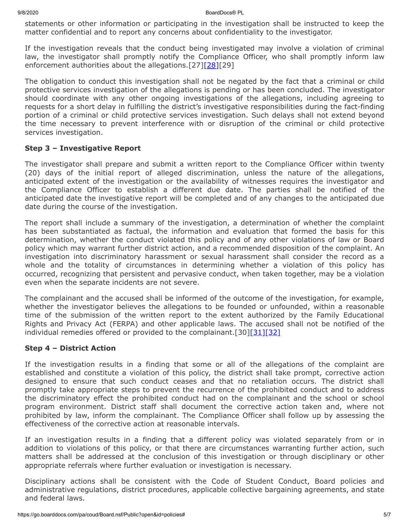statements or other information or participating in the investigation shall be instructed to keep the matter confidential and to report any concerns about confidentiality to the investigator.

If the investigation reveals that the conduct being investigated may involve a violation of criminal law, the investigator shall promptly notify the Compliance Officer, who shall promptly inform law enforcement authorities about the allegations.[27[\]\[28\]\[](http://www.legis.state.pa.us/cfdocs/legis/LI/consCheck.cfm?txtType=HTM&ttl=18&div=0&chpt=27&sctn=9&subsctn=0)29]

The obligation to conduct this investigation shall not be negated by the fact that a criminal or child protective services investigation of the allegations is pending or has been concluded. The investigator should coordinate with any other ongoing investigations of the allegations, including agreeing to requests for a short delay in fulfilling the district's investigative responsibilities during the fact-finding portion of a criminal or child protective services investigation. Such delays shall not extend beyond the time necessary to prevent interference with or disruption of the criminal or child protective services investigation.

## **Step 3 – Investigative Report**

The investigator shall prepare and submit a written report to the Compliance Officer within twenty (20) days of the initial report of alleged discrimination, unless the nature of the allegations, anticipated extent of the investigation or the availability of witnesses requires the investigator and the Compliance Officer to establish a different due date. The parties shall be notified of the anticipated date the investigative report will be completed and of any changes to the anticipated due date during the course of the investigation.

The report shall include a summary of the investigation, a determination of whether the complaint has been substantiated as factual, the information and evaluation that formed the basis for this determination, whether the conduct violated this policy and of any other violations of law or Board policy which may warrant further district action, and a recommended disposition of the complaint. An investigation into discriminatory harassment or sexual harassment shall consider the record as a whole and the totality of circumstances in determining whether a violation of this policy has occurred, recognizing that persistent and pervasive conduct, when taken together, may be a violation even when the separate incidents are not severe.

The complainant and the accused shall be informed of the outcome of the investigation, for example, whether the investigator believes the allegations to be founded or unfounded, within a reasonable time of the submission of the written report to the extent authorized by the Family Educational Rights and Privacy Act (FERPA) and other applicable laws. The accused shall not be notified of the individual remedies offered or provided to the complainant. [30][\[31\]](http://www.law.cornell.edu/uscode/text/20/1232g)[\[32\]](http://www.law.cornell.edu/cfr/text/34/part-99)

## **Step 4 – District Action**

If the investigation results in a finding that some or all of the allegations of the complaint are established and constitute a violation of this policy, the district shall take prompt, corrective action designed to ensure that such conduct ceases and that no retaliation occurs. The district shall promptly take appropriate steps to prevent the recurrence of the prohibited conduct and to address the discriminatory effect the prohibited conduct had on the complainant and the school or school program environment. District staff shall document the corrective action taken and, where not prohibited by law, inform the complainant. The Compliance Officer shall follow up by assessing the effectiveness of the corrective action at reasonable intervals.

If an investigation results in a finding that a different policy was violated separately from or in addition to violations of this policy, or that there are circumstances warranting further action, such matters shall be addressed at the conclusion of this investigation or through disciplinary or other appropriate referrals where further evaluation or investigation is necessary.

Disciplinary actions shall be consistent with the Code of Student Conduct, Board policies and administrative regulations, district procedures, applicable collective bargaining agreements, and state and federal laws.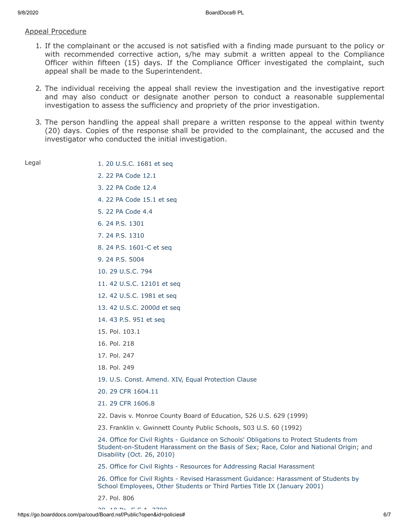## Appeal Procedure

- 1. If the complainant or the accused is not satisfied with a finding made pursuant to the policy or with recommended corrective action, s/he may submit a written appeal to the Compliance Officer within fifteen (15) days. If the Compliance Officer investigated the complaint, such appeal shall be made to the Superintendent.
- 2. The individual receiving the appeal shall review the investigation and the investigative report and may also conduct or designate another person to conduct a reasonable supplemental investigation to assess the sufficiency and propriety of the prior investigation.
- 3. The person handling the appeal shall prepare a written response to the appeal within twenty (20) days. Copies of the response shall be provided to the complainant, the accused and the investigator who conducted the initial investigation.

| $\sim$<br>۰.<br>۰. |
|--------------------|
|--------------------|

- [1. 20 U.S.C. 1681 et seq](http://www.law.cornell.edu/uscode/text/20/chapter-38)
- [2. 22 PA Code 12.1](http://pacodeandbulletin.gov/Display/pacode?file=/secure/pacode/data/022/chapter12/s12.1.html&d=reduce) [3. 22 PA Code 12.4](http://pacodeandbulletin.gov/Display/pacode?file=/secure/pacode/data/022/chapter12/s12.4.html&d=reduce)
- [4. 22 PA Code 15.1 et seq](http://pacodeandbulletin.gov/Display/pacode?file=/secure/pacode/data/022/chapter15/chap15toc.html&d=)
- [5. 22 PA Code 4.4](http://pacodeandbulletin.gov/Display/pacode?file=/secure/pacode/data/022/chapter4/s4.4.html&d=reduce)
- [6. 24 P.S. 1301](http://www.legis.state.pa.us/cfdocs/legis/LI/uconsCheck.cfm?txtType=HTM&yr=1949&sessInd=0&smthLwInd=0&act=14&chpt=13&sctn=1&subsctn=0)
- [7. 24 P.S. 1310](http://www.legis.state.pa.us/cfdocs/legis/LI/uconsCheck.cfm?txtType=HTM&yr=1949&sessInd=0&smthLwInd=0&act=14&chpt=13&sctn=10&subsctn=0)
- [8. 24 P.S. 1601-C et seq](http://www.legis.state.pa.us/cfdocs/legis/LI/uconsCheck.cfm?txtType=HTM&yr=1949&sessInd=0&smthLwInd=0&act=014&chpt=16C)
- [9. 24 P.S. 5004](http://www.legis.state.pa.us/cfdocs/legis/LI/uconsCheck.cfm?txtType=HTM&yr=1961&sessInd=0&smthLwInd=0&act=341&chpt=0&sctn=4&subsctn=0)
- [10. 29 U.S.C. 794](http://www.law.cornell.edu/uscode/text/29/794)
- [11. 42 U.S.C. 12101 et seq](http://www.law.cornell.edu/uscode/text/42/chapter-126)
- [12. 42 U.S.C. 1981 et seq](http://www.law.cornell.edu/uscode/text/42/chapter-21/subchapter-I)
- [13. 42 U.S.C. 2000d et seq](http://www.law.cornell.edu/uscode/text/42/chapter-21/subchapter-V)
- [14. 43 P.S. 951 et seq](http://www.legis.state.pa.us/cfdocs/Legis/LI/uconsCheck.cfm?txtType=HTM&yr=1955&sessInd=0&smthLwInd=0&act=0222.)
- 15. Pol. 103.1
- 16. Pol. 218
- 17. Pol. 247
- 18. Pol. 249
- [19. U.S. Const. Amend. XIV, Equal Protection Clause](https://www.law.cornell.edu/constitution/amendmentxiv)
- [20. 29 CFR 1604.11](http://www.law.cornell.edu/cfr/text/29/1604.11)
- [21. 29 CFR 1606.8](http://www.law.cornell.edu/cfr/text/29/1606.8)
- 22. Davis v. Monroe County Board of Education, 526 U.S. 629 (1999)
- 23. Franklin v. Gwinnett County Public Schools, 503 U.S. 60 (1992)

24. Office for Civil Rights - Guidance on Schools' Obligations to Protect Students from [Student-on-Student Harassment on the Basis of Sex; Race, Color and National Origin; and](https://www2.ed.gov/about/offices/list/ocr/letters/colleague-201010.html) Disability (Oct. 26, 2010)

[25. Office for Civil Rights - Resources for Addressing Racial Harassment](https://www2.ed.gov/about/offices/list/ocr/raceharassresources.html)

[26. Office for Civil Rights - Revised Harassment Guidance: Harassment of Students by](https://www2.ed.gov/about/offices/list/ocr/docs/shguide.html) School Employees, Other Students or Third Parties Title IX (January 2001)

27. Pol. 806